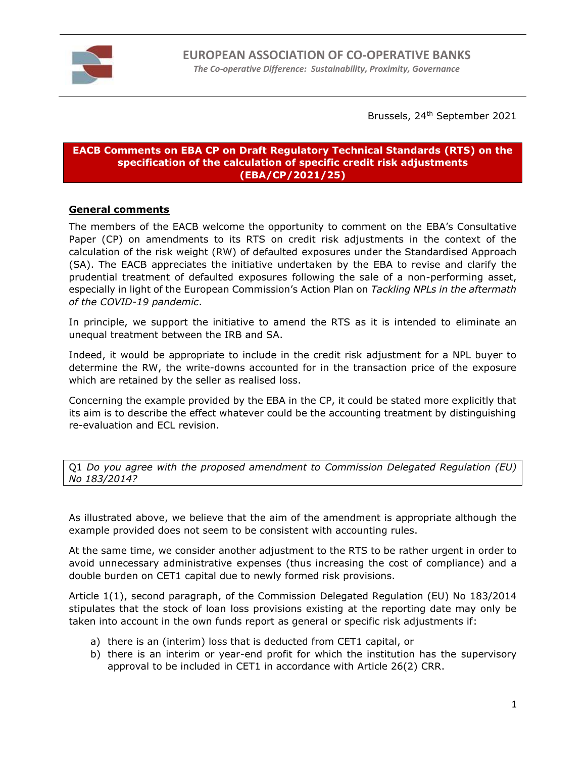

Brussels, 24<sup>th</sup> September 2021

## **EACB Comments on EBA CP on Draft Regulatory Technical Standards (RTS) on the specification of the calculation of specific credit risk adjustments (EBA/CP/2021/25)**

## **General comments**

The members of the EACB welcome the opportunity to comment on the EBA's Consultative Paper (CP) on amendments to its RTS on credit risk adjustments in the context of the calculation of the risk weight (RW) of defaulted exposures under the Standardised Approach (SA). The EACB appreciates the initiative undertaken by the EBA to revise and clarify the prudential treatment of defaulted exposures following the sale of a non-performing asset, especially in light of the European Commission's Action Plan on *Tackling NPLs in the aftermath of the COVID-19 pandemic*.

In principle, we support the initiative to amend the RTS as it is intended to eliminate an unequal treatment between the IRB and SA.

Indeed, it would be appropriate to include in the credit risk adjustment for a NPL buyer to determine the RW, the write-downs accounted for in the transaction price of the exposure which are retained by the seller as realised loss.

Concerning the example provided by the EBA in the CP, it could be stated more explicitly that its aim is to describe the effect whatever could be the accounting treatment by distinguishing re-evaluation and ECL revision.

Q1 *Do you agree with the proposed amendment to Commission Delegated Regulation (EU) No 183/2014?* 

As illustrated above, we believe that the aim of the amendment is appropriate although the example provided does not seem to be consistent with accounting rules.

At the same time, we consider another adjustment to the RTS to be rather urgent in order to avoid unnecessary administrative expenses (thus increasing the cost of compliance) and a double burden on CET1 capital due to newly formed risk provisions.

Article 1(1), second paragraph, of the Commission Delegated Regulation (EU) No 183/2014 stipulates that the stock of loan loss provisions existing at the reporting date may only be taken into account in the own funds report as general or specific risk adjustments if:

- a) there is an (interim) loss that is deducted from CET1 capital, or
- b) there is an interim or year-end profit for which the institution has the supervisory approval to be included in CET1 in accordance with Article 26(2) CRR.